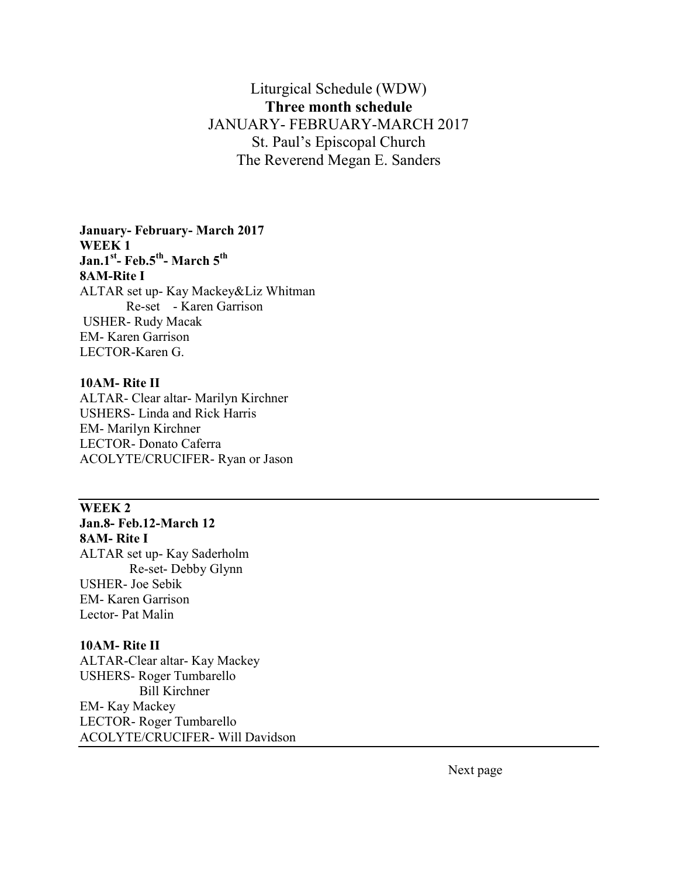# Liturgical Schedule (WDW) Three month schedule JANUARY- FEBRUARY-MARCH 2017 St. Paul's Episcopal Church The Reverend Megan E. Sanders

### January- February- March 2017 WEEK 1 Jan.1<sup>st</sup>- Feb.5<sup>th</sup>- March 5<sup>th</sup> 8AM-Rite I ALTAR set up- Kay Mackey&Liz Whitman Re-set - Karen Garrison USHER- Rudy Macak EM- Karen Garrison LECTOR-Karen G.

#### 10AM- Rite II

ALTAR- Clear altar- Marilyn Kirchner USHERS- Linda and Rick Harris EM- Marilyn Kirchner LECTOR- Donato Caferra ACOLYTE/CRUCIFER- Ryan or Jason

# WEEK 2 Jan.8- Feb.12-March 12 8AM- Rite I

ALTAR set up- Kay Saderholm Re-set- Debby Glynn USHER- Joe Sebik EM- Karen Garrison Lector- Pat Malin

### 10AM- Rite II

ALTAR-Clear altar- Kay Mackey USHERS- Roger Tumbarello Bill Kirchner EM- Kay Mackey LECTOR- Roger Tumbarello ACOLYTE/CRUCIFER- Will Davidson